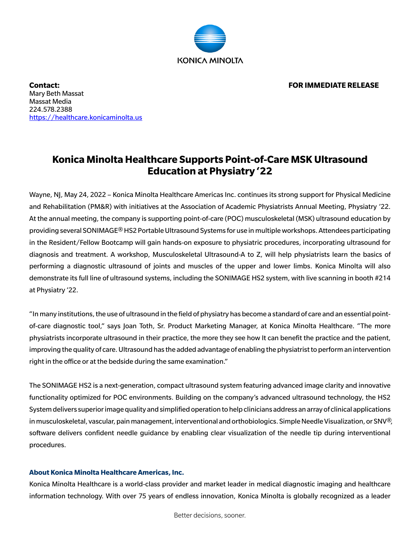

**Contact: FOR IMMEDIATE RELEASE** Mary Beth Massat Massat Media 224.578.2388 https://healthcare.konicaminolta.us

## **Konica Minolta Healthcare Supports Point-of-Care MSK Ultrasound Education at Physiatry '22**

Wayne, NJ, May 24, 2022 – Konica Minolta Healthcare Americas Inc. continues its strong support for Physical Medicine and Rehabilitation (PM&R) with initiatives at the Association of Academic Physiatrists Annual Meeting, Physiatry '22. At the annual meeting, the company is supporting point-of-care (POC) musculoskeletal (MSK) ultrasound education by providing several SONIMAGE® HS2 Portable Ultrasound Systems for use in multiple workshops. Attendees participating in the Resident/Fellow Bootcamp will gain hands-on exposure to physiatric procedures, incorporating ultrasound for diagnosis and treatment. A workshop, Musculoskeletal Ultrasound-A to Z, will help physiatrists learn the basics of performing a diagnostic ultrasound of joints and muscles of the upper and lower limbs. Konica Minolta will also demonstrate its full line of ultrasound systems, including the SONIMAGE HS2 system, with live scanning in booth #214 at Physiatry '22.

"In many institutions, the use of ultrasound in the field of physiatry has become a standard of care and an essential pointof-care diagnostic tool," says Joan Toth, Sr. Product Marketing Manager, at Konica Minolta Healthcare. "The more physiatrists incorporate ultrasound in their practice, the more they see how It can benefit the practice and the patient, improving the quality of care.Ultrasound has the added advantage of enabling the physiatrist to perform an intervention right in the office or at the bedside during the same examination."

The SONIMAGE HS2 is a next-generation, compact ultrasound system featuring advanced image clarity and innovative functionality optimized for POC environments. Building on the company's advanced ultrasound technology, the HS2 System delivers superior image quality and simplified operation to help clinicians address an array of clinical applications in musculoskeletal, vascular, pain management, interventional and orthobiologics. Simple Needle Visualization, or SNV®, software delivers confident needle guidance by enabling clear visualization of the needle tip during interventional procedures.

## **About Konica Minolta Healthcare Americas, Inc.**

Konica Minolta Healthcare is a world-class provider and market leader in medical diagnostic imaging and healthcare information technology. With over 75 years of endless innovation, Konica Minolta is globally recognized as a leader